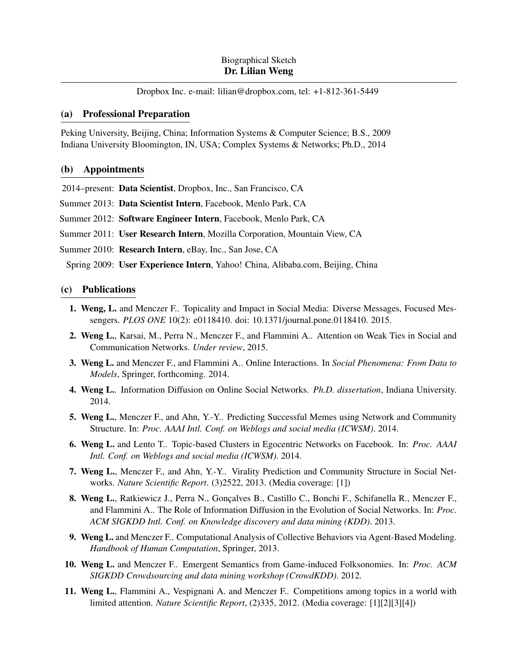Dropbox Inc. e-mail: [lilian@dropbox.com,](mailto:lilian@dropbox.com) tel: +1-812-361-5449

## (a) Professional Preparation

Peking University, Beijing, China; Information Systems & Computer Science; B.S., 2009 Indiana University Bloomington, IN, USA; Complex Systems & Networks; Ph.D., 2014

# (b) Appointments

2014–present: Data Scientist, Dropbox, Inc., San Francisco, CA

- Summer 2013: Data Scientist Intern, Facebook, Menlo Park, CA
- Summer 2012: Software Engineer Intern, Facebook, Menlo Park, CA
- Summer 2011: User Research Intern, Mozilla Corporation, Mountain View, CA
- Summer 2010: Research Intern, eBay, Inc., San Jose, CA

Spring 2009: User Experience Intern, Yahoo! China, Alibaba.com, Beijing, China

## (c) Publications

- 1. Weng, L. and Menczer F.. Topicality and Impact in Social Media: Diverse Messages, Focused Messengers. *PLOS ONE* 10(2): e0118410. doi: 10.1371/journal.pone.0118410. 2015.
- 2. Weng L., Karsai, M., Perra N., Menczer F., and Flammini A.. Attention on Weak Ties in Social and Communication Networks. *Under review*, 2015.
- 3. Weng L. and Menczer F., and Flammini A.. Online Interactions. In *Social Phenomena: From Data to Models*, Springer, forthcoming. 2014.
- 4. Weng L.. Information Diffusion on Online Social Networks. *Ph.D. dissertation*, Indiana University. 2014.
- 5. Weng L., Menczer F., and Ahn, Y.-Y.. Predicting Successful Memes using Network and Community Structure. In: *Proc. AAAI Intl. Conf. on Weblogs and social media (ICWSM)*. 2014.
- 6. Weng L. and Lento T.. Topic-based Clusters in Egocentric Networks on Facebook. In: *Proc. AAAI Intl. Conf. on Weblogs and social media (ICWSM)*. 2014.
- 7. Weng L., Menczer F., and Ahn, Y.-Y.. Virality Prediction and Community Structure in Social Networks. *Nature Scientific Report*. (3)2522, 2013. (Media coverage: [\[1\]](http://www.scientificamerican.com/article/twitter-trends-help-researchers-forecast-viral-memes/))
- 8. Weng L., Ratkiewicz J., Perra N., Gonçalves B., Castillo C., Bonchi F., Schifanella R., Menczer F., and Flammini A.. The Role of Information Diffusion in the Evolution of Social Networks. In: *Proc. ACM SIGKDD Intl. Conf. on Knowledge discovery and data mining (KDD)*. 2013.
- 9. Weng L. and Menczer F.. Computational Analysis of Collective Behaviors via Agent-Based Modeling. *Handbook of Human Computation*, Springer, 2013.
- 10. Weng L. and Menczer F.. Emergent Semantics from Game-induced Folksonomies. In: *Proc. ACM SIGKDD Crowdsourcing and data mining workshop (CrowdKDD)*. 2012.
- 11. Weng L., Flammini A., Vespignani A. and Menczer F.. Competitions among topics in a world with limited attention. *Nature Scientific Report*, (2)335, 2012. (Media coverage: [\[1\]](http://www.newscientist.com/article/dn21702-going-viral-on-twitter-is-a-random-act.html)[\[2\]](http://www.theatlantic.com/technology/archive/2012/04/what-fuels-the-most-influential-tweets/255453/)[\[3\]](http://www.nrc.nl/nieuws/2012/04/02/het-is-wetenschappelijk-bewezen-de-meeste-hashtags-sterven-jong/)[\[4\]](http://www.informationweek.com/thebrainyard/news/social_networking_consumer/232800361/science-probes-why-tweets-go-viral))